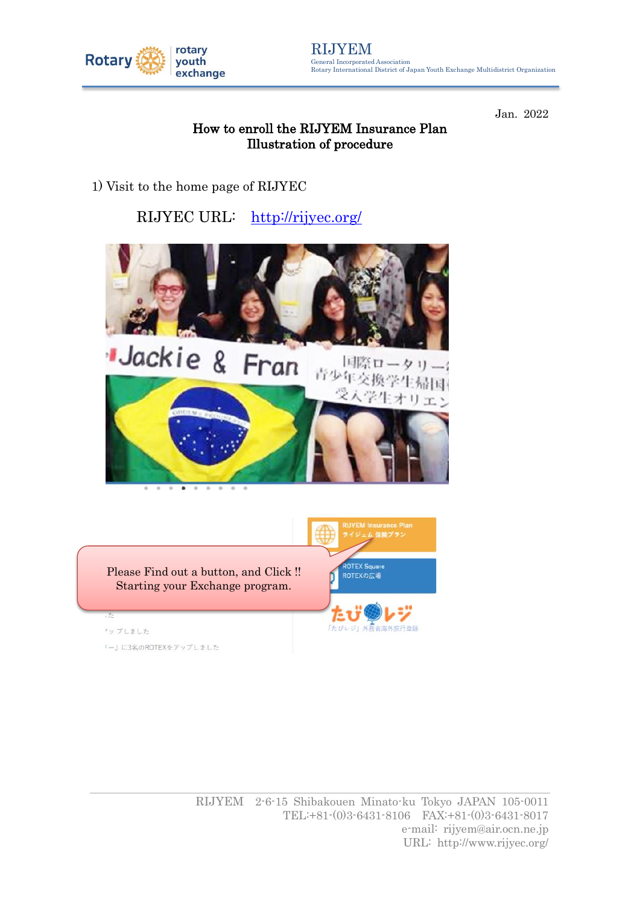

Jan. 2022

### How to enroll the RIJYEM Insurance Plan Illustration of procedure

1) Visit to the home page of RIJYEC

# RIJYEC URL: <http://rijyec.org/>



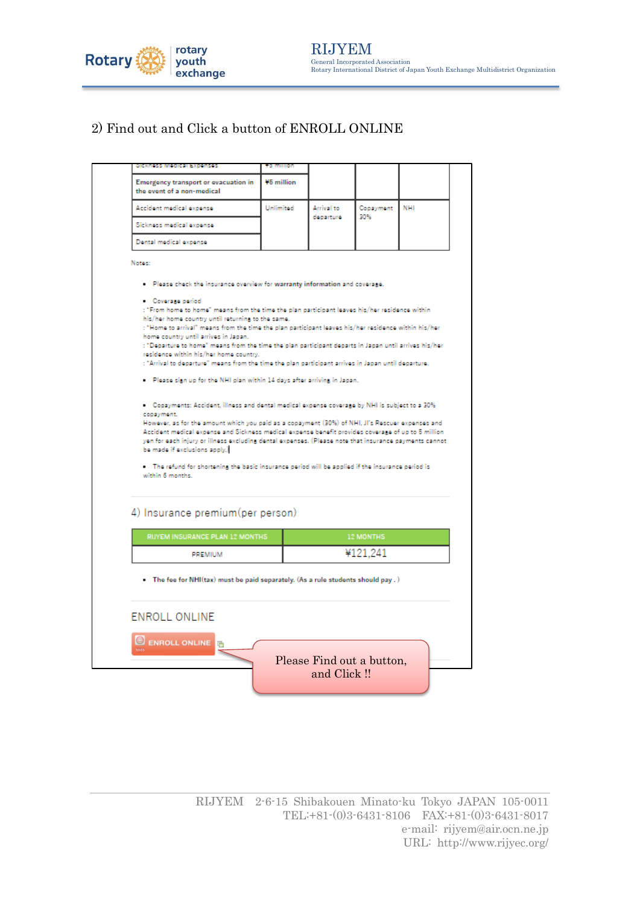

## 2) Find out and Click a button of ENROLL ONLINE

| Sickness Medical Expenses                                                                                                                                                                                                                                                                                                                                                                                                                                                                                                                                                                                                                                     | to million |            |                  |            |
|---------------------------------------------------------------------------------------------------------------------------------------------------------------------------------------------------------------------------------------------------------------------------------------------------------------------------------------------------------------------------------------------------------------------------------------------------------------------------------------------------------------------------------------------------------------------------------------------------------------------------------------------------------------|------------|------------|------------------|------------|
| Emergency transport or evacuation in<br>the event of a non-medical                                                                                                                                                                                                                                                                                                                                                                                                                                                                                                                                                                                            | ¥5 million |            |                  |            |
| Accident medical expense                                                                                                                                                                                                                                                                                                                                                                                                                                                                                                                                                                                                                                      | Unlimited  | Arrival to | Copayment<br>30% | <b>NHI</b> |
| Sickness medical expense                                                                                                                                                                                                                                                                                                                                                                                                                                                                                                                                                                                                                                      |            | departure  |                  |            |
| Dental medical expense                                                                                                                                                                                                                                                                                                                                                                                                                                                                                                                                                                                                                                        |            |            |                  |            |
| Notes:                                                                                                                                                                                                                                                                                                                                                                                                                                                                                                                                                                                                                                                        |            |            |                  |            |
| . Please check the insurance overview for warranty information and coverage.                                                                                                                                                                                                                                                                                                                                                                                                                                                                                                                                                                                  |            |            |                  |            |
| Coverage period<br>: "From home to home" means from the time the plan participant leaves his/her residence within<br>his/her home country until returning to the same.<br>: "Home to arrival" means from the time the plan participant leaves his/her residence within his/her<br>home country until arrives in Japan.<br>: "Departure to home" means from the time the plan participant departs in Japan until arrives his/her<br>residence within his/her home country.<br>: "Arrival to departure" means from the time the plan participant arrives in Japan until departure.<br>. Please sign up for the NHI plan within 14 days after arriving in Japan. |            |            |                  |            |
| . Copayments: Accident, illness and dental medical expense coverage by NHI is subject to a 30%<br>copayment.<br>However, as for the amount which you paid as a copayment (30%) of NHI, JI's Rescuer expenses and<br>Accident medical expense and Sickness medical expense benefit provides coverage of up to 5 million<br>yen for each injury or illness excluding dental expenses. (Please note that insurance payments cannot<br>be made if exclusions apply.)<br>. The refund for shortening the basic insurance period will be applied if the insurance period is<br>within 6 months.                                                                     |            |            |                  |            |
| 4) Insurance premium(per person)                                                                                                                                                                                                                                                                                                                                                                                                                                                                                                                                                                                                                              |            |            |                  |            |
| RIJYEM INSURANCE PLAN 12 MONTHS                                                                                                                                                                                                                                                                                                                                                                                                                                                                                                                                                                                                                               |            |            | <b>12 MONTHS</b> |            |
| PREMIUM                                                                                                                                                                                                                                                                                                                                                                                                                                                                                                                                                                                                                                                       |            |            | ¥121.241         |            |
| . The fee for NHI(tax) must be paid separately. (As a rule students should pay .)<br><b>ENROLL ONLINE</b>                                                                                                                                                                                                                                                                                                                                                                                                                                                                                                                                                     |            |            |                  |            |
| <b>ENROLL ONLINE</b>                                                                                                                                                                                                                                                                                                                                                                                                                                                                                                                                                                                                                                          |            |            |                  |            |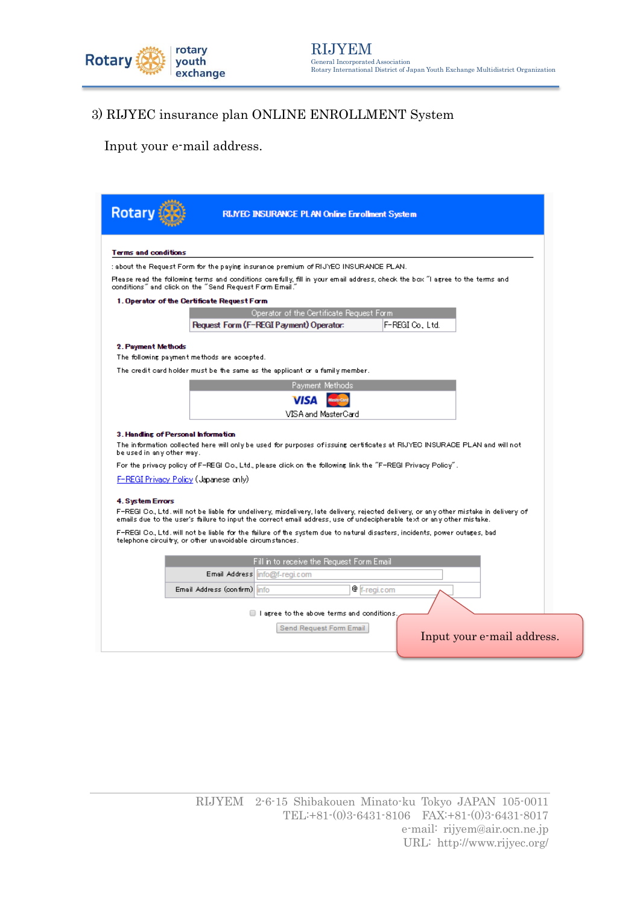

# 3) RIJYEC insurance plan ONLINE ENROLLMENT System

Input your e-mail address.

| <b>Rotary</b>                                                                       | RIJYEC INSURANCE PLAN Online Enrollment System                                                               |                                                                                                                                                                                                                                                                                                                                                                                              |
|-------------------------------------------------------------------------------------|--------------------------------------------------------------------------------------------------------------|----------------------------------------------------------------------------------------------------------------------------------------------------------------------------------------------------------------------------------------------------------------------------------------------------------------------------------------------------------------------------------------------|
| <b>Terms and conditions</b>                                                         |                                                                                                              |                                                                                                                                                                                                                                                                                                                                                                                              |
|                                                                                     | : about the Request Form for the paying insurance premium of RIJYEO INSURANCE PLAN.                          |                                                                                                                                                                                                                                                                                                                                                                                              |
| conditions" and click on the "Send Request Form Email."                             |                                                                                                              | Please read the following terms and conditions carefully, fill in your email address, check the box "I agree to the terms and                                                                                                                                                                                                                                                                |
| 1. Operator of the Certificate Request Form                                         |                                                                                                              |                                                                                                                                                                                                                                                                                                                                                                                              |
|                                                                                     | Operator of the Certificate Request Form                                                                     |                                                                                                                                                                                                                                                                                                                                                                                              |
|                                                                                     | <b>Request Form (F-REGI Payment) Operator:</b>                                                               | F-REGI Co., Ltd.                                                                                                                                                                                                                                                                                                                                                                             |
| 2. Payment Methods<br>The following payment methods are accepted.                   |                                                                                                              |                                                                                                                                                                                                                                                                                                                                                                                              |
|                                                                                     | The credit card holder must be the same as the applicant or a family member.                                 |                                                                                                                                                                                                                                                                                                                                                                                              |
|                                                                                     | Payment Methods                                                                                              |                                                                                                                                                                                                                                                                                                                                                                                              |
|                                                                                     | <b>VISA</b>                                                                                                  |                                                                                                                                                                                                                                                                                                                                                                                              |
|                                                                                     | VISA and MasterCard                                                                                          |                                                                                                                                                                                                                                                                                                                                                                                              |
| 3. Handing of Personal Information                                                  |                                                                                                              |                                                                                                                                                                                                                                                                                                                                                                                              |
| be used in any other way.                                                           |                                                                                                              | The information collected here will only be used for purposes of issuing certificates at RIJYEC INSURACE PLAN and will not                                                                                                                                                                                                                                                                   |
|                                                                                     | . "For the privacy policy of F-REGI Co., Ltd., please click on the following link the "F-REGI Privacy Policy |                                                                                                                                                                                                                                                                                                                                                                                              |
| F-REGI Privacy Policy (Japanese only)                                               |                                                                                                              |                                                                                                                                                                                                                                                                                                                                                                                              |
| <b>4. System Errors</b><br>telephone circuitry, or other unavoidable circumstances. |                                                                                                              | F-REGI Co., Ltd. will not be liable for undelivery, misdelivery, late delivery, rejected delivery, or any other mistake in delivery of<br>emails due to the user's failure to input the correct email address, use of undecipherable text or any other mistake.<br>F-REGI Co., Ltd. will not be liable for the failure of the system due to natural disasters, incidents, power outages, bad |
|                                                                                     | Fill in to receive the Request Form Email                                                                    |                                                                                                                                                                                                                                                                                                                                                                                              |
|                                                                                     | Email Address info@f-regi.com                                                                                |                                                                                                                                                                                                                                                                                                                                                                                              |
| Email Address (confirm) info                                                        |                                                                                                              | <sup>@</sup> f-regi.com                                                                                                                                                                                                                                                                                                                                                                      |
|                                                                                     | $\Box$ I arree to the above terms and conditions<br>Send Request Form Email                                  | Input your e-mail address.                                                                                                                                                                                                                                                                                                                                                                   |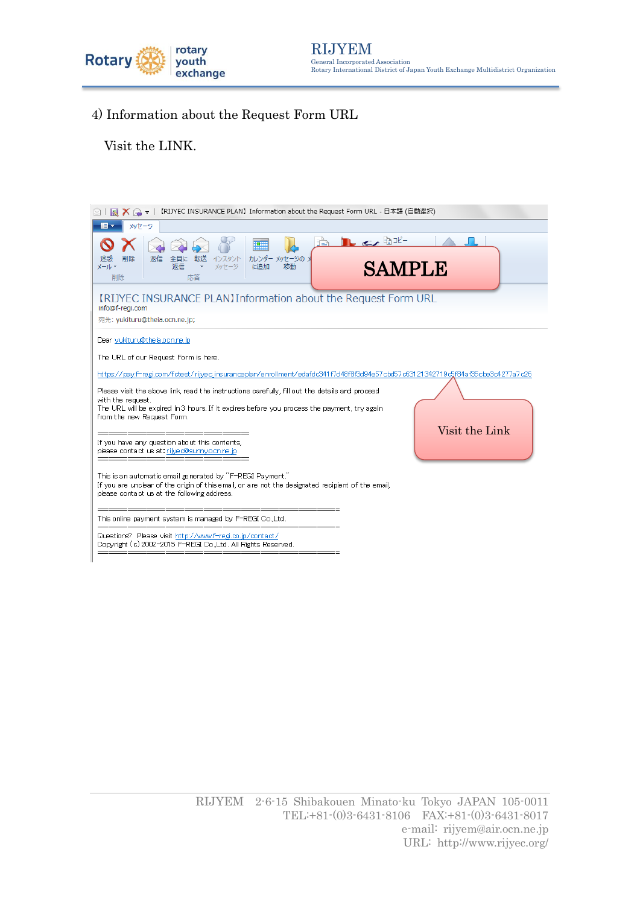

4) Information about the Request Form URL

Visit the LINK.

| 【RIJYEC INSURANCE PLAN】Information about the Request Form URL - 日本語 (自動選択)<br>$\Box$                                                                                                                                                                               |
|--------------------------------------------------------------------------------------------------------------------------------------------------------------------------------------------------------------------------------------------------------------------|
| メッセージ<br>18 -                                                                                                                                                                                                                                                      |
| $\mathbb{L}$ or the $\mathbb{L}$<br>١Ŧ<br>返信<br>カレンダー メッセージの ><br>削除<br>転送<br>インスタント<br>全目に<br><b>SAMPLE</b><br>返信<br>メッセージ<br>に追加<br>メール・<br>移動<br>応答<br>削除                                                                                                       |
| [RIJYEC INSURANCE PLAN] Information about the Request Form URL<br>info@f-regi.com<br>宛先: yukituru@theia.ocn.ne.jp;                                                                                                                                                 |
| Dear yukituru@theia.oon.ne.jp<br>The URL of our Request Form is here.<br>https://pay.f=regi.com/fctest/rijyec.insuranceplan/enrollment/edafdc341f7d48f8f3d94e57cbd57c63121342719c5f84af35cbe3c4277a7c26                                                            |
| Please visit the above link, read the instructions carefully, fill out the details and proceed<br>with the request.<br>The URL will be expired in 3 hours. If it expires before you process the payment, try again<br>from the new Request Form.<br>Visit the Link |
| If you have any question about this contents,<br>please contact us at rijve o@sunny.ocn.ne.jp                                                                                                                                                                      |
| This is an automatic email generated by "F-REGI Payment."<br>If you are unclear of the origin of this email, or are not the designated recipient of the email,<br>please contact us at the following address.                                                      |
| This online payment system is managed by F-REGI Co.,Ltd.                                                                                                                                                                                                           |
| Questions? Please visit http://www.f-regi.co.jp/contact/<br>Copyright (c) 2002-2015 F-REGI Co.,Ltd. All Rights Reserved.                                                                                                                                           |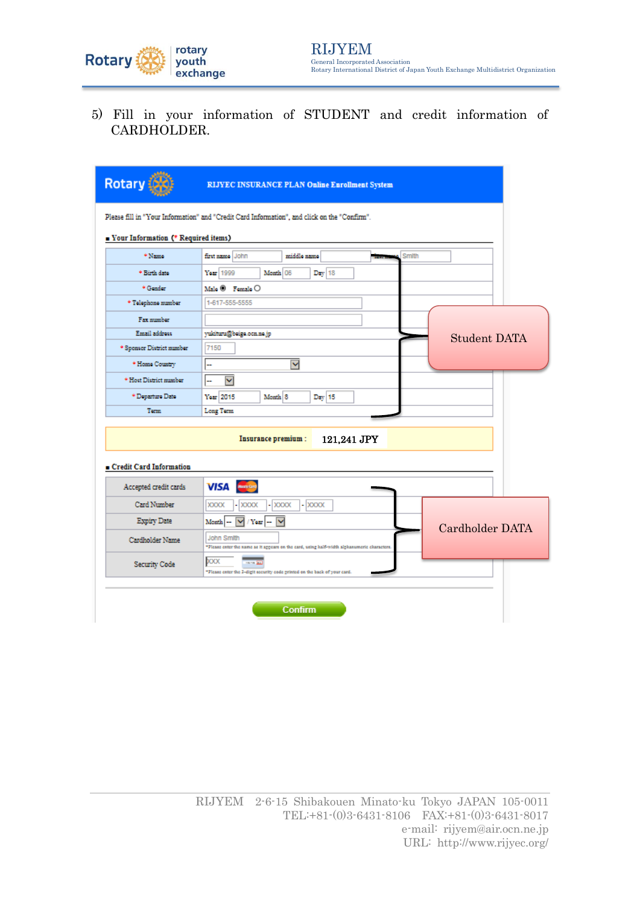

5) Fill in your information of STUDENT and credit information of CARDHOLDER.

| <b>Rotary</b>                          | <b>RIJYEC INSURANCE PLAN Online Enrollment System</b>                                                            |
|----------------------------------------|------------------------------------------------------------------------------------------------------------------|
|                                        | Please fill in "Your Information" and "Credit Card Information", and click on the "Confirm".                     |
| De Your Information (* Required items) |                                                                                                                  |
| * Name                                 | first name John<br>Smith<br>middle name                                                                          |
| * Birth date                           | Year 1999<br>Month 06<br>Day 18                                                                                  |
| * Gender                               | Male $\Theta$ Female $\Theta$                                                                                    |
| * Telephone number                     | 1-617-555-5555                                                                                                   |
| Fax number                             |                                                                                                                  |
| Email address                          | yukituru@beiga.ocn.na.jp<br><b>Student DATA</b>                                                                  |
| * Sponsor District number              | 7150                                                                                                             |
| * Home Country                         | м<br>ш,                                                                                                          |
| * Host District number                 | $\checkmark$<br>н.                                                                                               |
| * Departure Date                       | $Day$ 15<br>Year 2015<br>Month <sup>8</sup>                                                                      |
| Tem                                    | Long Term                                                                                                        |
|                                        | Insurance premium:<br>121,241 JPY                                                                                |
| Credit Card Information                |                                                                                                                  |
| Accepted credit cards                  | <b>VISA</b> Municipal                                                                                            |
| Card Number                            | <b>XXXX</b><br>$-$ XXXXX<br><b>XXXXX</b><br>XXXX                                                                 |
| Expiry Date                            | $\checkmark$<br>$\vee$ / Year<br>Month <sup>1</sup><br>Cardholder DATA                                           |
| Cardholder Name                        | <b>John Smith</b><br>"Please enter the name as it appears on the card, using half-width alphanumeric characters. |
| Security Code                          | XXX<br><b>Birth Mary</b><br>"Please enter the 2-digit security code printed on the back of your card.            |
|                                        | Confirm                                                                                                          |